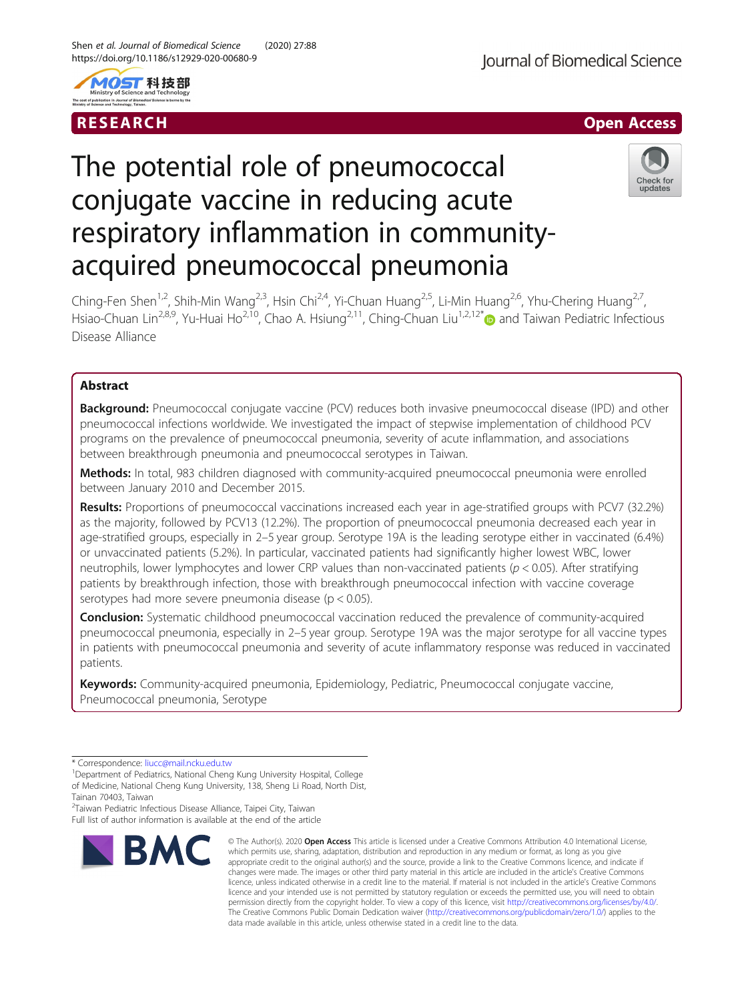



# The potential role of pneumococcal conjugate vaccine in reducing acute respiratory inflammation in communityacquired pneumococcal pneumonia



Ching-Fen Shen<sup>1,2</sup>, Shih-Min Wang<sup>2,3</sup>, Hsin Chi<sup>2,4</sup>, Yi-Chuan Huang<sup>2,5</sup>, Li-Min Huang<sup>2,6</sup>, Yhu-Chering Huang<sup>2,7</sup>, Hsiao-Chuan Lin<sup>2,8,9</sup>, Yu-Huai Ho<sup>2,10</sup>, Chao A. Hsiung<sup>2,11</sup>, Ching-Chuan Liu<sup>1,2,12\*</sup> and Taiwan Pediatric Infectious Disease Alliance

# Abstract

**Background:** Pneumococcal conjugate vaccine (PCV) reduces both invasive pneumococcal disease (IPD) and other pneumococcal infections worldwide. We investigated the impact of stepwise implementation of childhood PCV programs on the prevalence of pneumococcal pneumonia, severity of acute inflammation, and associations between breakthrough pneumonia and pneumococcal serotypes in Taiwan.

Methods: In total, 983 children diagnosed with community-acquired pneumococcal pneumonia were enrolled between January 2010 and December 2015.

Results: Proportions of pneumococcal vaccinations increased each year in age-stratified groups with PCV7 (32.2%) as the majority, followed by PCV13 (12.2%). The proportion of pneumococcal pneumonia decreased each year in age-stratified groups, especially in 2–5 year group. Serotype 19A is the leading serotype either in vaccinated (6.4%) or unvaccinated patients (5.2%). In particular, vaccinated patients had significantly higher lowest WBC, lower neutrophils, lower lymphocytes and lower CRP values than non-vaccinated patients ( $p < 0.05$ ). After stratifying patients by breakthrough infection, those with breakthrough pneumococcal infection with vaccine coverage serotypes had more severe pneumonia disease (p < 0.05).

**Conclusion:** Systematic childhood pneumococcal vaccination reduced the prevalence of community-acquired pneumococcal pneumonia, especially in 2–5 year group. Serotype 19A was the major serotype for all vaccine types in patients with pneumococcal pneumonia and severity of acute inflammatory response was reduced in vaccinated patients.

Keywords: Community-acquired pneumonia, Epidemiology, Pediatric, Pneumococcal conjugate vaccine, Pneumococcal pneumonia, Serotype

<sup>2</sup>Taiwan Pediatric Infectious Disease Alliance, Taipei City, Taiwan Full list of author information is available at the end of the article



<sup>©</sup> The Author(s), 2020 **Open Access** This article is licensed under a Creative Commons Attribution 4.0 International License, which permits use, sharing, adaptation, distribution and reproduction in any medium or format, as long as you give appropriate credit to the original author(s) and the source, provide a link to the Creative Commons licence, and indicate if changes were made. The images or other third party material in this article are included in the article's Creative Commons licence, unless indicated otherwise in a credit line to the material. If material is not included in the article's Creative Commons licence and your intended use is not permitted by statutory regulation or exceeds the permitted use, you will need to obtain permission directly from the copyright holder. To view a copy of this licence, visit [http://creativecommons.org/licenses/by/4.0/.](http://creativecommons.org/licenses/by/4.0/) The Creative Commons Public Domain Dedication waiver [\(http://creativecommons.org/publicdomain/zero/1.0/](http://creativecommons.org/publicdomain/zero/1.0/)) applies to the data made available in this article, unless otherwise stated in a credit line to the data.

<sup>\*</sup> Correspondence: [liucc@mail.ncku.edu.tw](mailto:liucc@mail.ncku.edu.tw) <sup>1</sup>

<sup>&</sup>lt;sup>1</sup>Department of Pediatrics, National Cheng Kung University Hospital, College of Medicine, National Cheng Kung University, 138, Sheng Li Road, North Dist,

Tainan 70403, Taiwan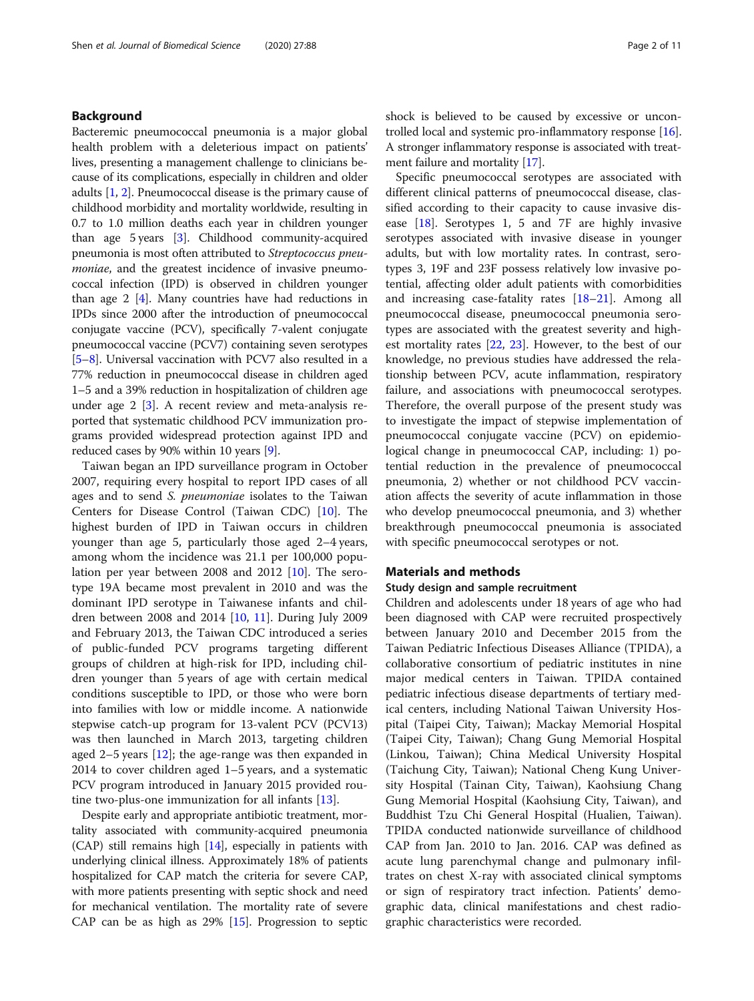# Background

Bacteremic pneumococcal pneumonia is a major global health problem with a deleterious impact on patients' lives, presenting a management challenge to clinicians because of its complications, especially in children and older adults [\[1](#page-9-0), [2\]](#page-9-0). Pneumococcal disease is the primary cause of childhood morbidity and mortality worldwide, resulting in 0.7 to 1.0 million deaths each year in children younger than age 5 years [[3\]](#page-9-0). Childhood community-acquired pneumonia is most often attributed to Streptococcus pneumoniae, and the greatest incidence of invasive pneumococcal infection (IPD) is observed in children younger than age 2 [[4\]](#page-9-0). Many countries have had reductions in IPDs since 2000 after the introduction of pneumococcal conjugate vaccine (PCV), specifically 7-valent conjugate pneumococcal vaccine (PCV7) containing seven serotypes [[5](#page-9-0)–[8](#page-9-0)]. Universal vaccination with PCV7 also resulted in a 77% reduction in pneumococcal disease in children aged 1–5 and a 39% reduction in hospitalization of children age under age 2 [\[3](#page-9-0)]. A recent review and meta-analysis reported that systematic childhood PCV immunization programs provided widespread protection against IPD and reduced cases by 90% within 10 years [\[9](#page-9-0)].

Taiwan began an IPD surveillance program in October 2007, requiring every hospital to report IPD cases of all ages and to send S. pneumoniae isolates to the Taiwan Centers for Disease Control (Taiwan CDC) [[10\]](#page-9-0). The highest burden of IPD in Taiwan occurs in children younger than age 5, particularly those aged 2–4 years, among whom the incidence was 21.1 per 100,000 population per year between 2008 and 2012 [\[10](#page-9-0)]. The serotype 19A became most prevalent in 2010 and was the dominant IPD serotype in Taiwanese infants and children between 2008 and 2014 [[10,](#page-9-0) [11](#page-9-0)]. During July 2009 and February 2013, the Taiwan CDC introduced a series of public-funded PCV programs targeting different groups of children at high-risk for IPD, including children younger than 5 years of age with certain medical conditions susceptible to IPD, or those who were born into families with low or middle income. A nationwide stepwise catch-up program for 13-valent PCV (PCV13) was then launched in March 2013, targeting children aged 2–5 years [\[12](#page-9-0)]; the age-range was then expanded in 2014 to cover children aged 1–5 years, and a systematic PCV program introduced in January 2015 provided routine two-plus-one immunization for all infants [\[13\]](#page-9-0).

Despite early and appropriate antibiotic treatment, mortality associated with community-acquired pneumonia  $(CAP)$  still remains high  $[14]$  $[14]$  $[14]$ , especially in patients with underlying clinical illness. Approximately 18% of patients hospitalized for CAP match the criteria for severe CAP, with more patients presenting with septic shock and need for mechanical ventilation. The mortality rate of severe CAP can be as high as 29% [\[15\]](#page-9-0). Progression to septic shock is believed to be caused by excessive or uncontrolled local and systemic pro-inflammatory response [[16](#page-9-0)]. A stronger inflammatory response is associated with treatment failure and mortality [[17](#page-10-0)].

Specific pneumococcal serotypes are associated with different clinical patterns of pneumococcal disease, classified according to their capacity to cause invasive disease [[18\]](#page-10-0). Serotypes 1, 5 and 7F are highly invasive serotypes associated with invasive disease in younger adults, but with low mortality rates. In contrast, serotypes 3, 19F and 23F possess relatively low invasive potential, affecting older adult patients with comorbidities and increasing case-fatality rates [[18](#page-10-0)–[21](#page-10-0)]. Among all pneumococcal disease, pneumococcal pneumonia serotypes are associated with the greatest severity and highest mortality rates [\[22,](#page-10-0) [23\]](#page-10-0). However, to the best of our knowledge, no previous studies have addressed the relationship between PCV, acute inflammation, respiratory failure, and associations with pneumococcal serotypes. Therefore, the overall purpose of the present study was to investigate the impact of stepwise implementation of pneumococcal conjugate vaccine (PCV) on epidemiological change in pneumococcal CAP, including: 1) potential reduction in the prevalence of pneumococcal pneumonia, 2) whether or not childhood PCV vaccination affects the severity of acute inflammation in those who develop pneumococcal pneumonia, and 3) whether breakthrough pneumococcal pneumonia is associated with specific pneumococcal serotypes or not.

# Materials and methods

#### Study design and sample recruitment

Children and adolescents under 18 years of age who had been diagnosed with CAP were recruited prospectively between January 2010 and December 2015 from the Taiwan Pediatric Infectious Diseases Alliance (TPIDA), a collaborative consortium of pediatric institutes in nine major medical centers in Taiwan. TPIDA contained pediatric infectious disease departments of tertiary medical centers, including National Taiwan University Hospital (Taipei City, Taiwan); Mackay Memorial Hospital (Taipei City, Taiwan); Chang Gung Memorial Hospital (Linkou, Taiwan); China Medical University Hospital (Taichung City, Taiwan); National Cheng Kung University Hospital (Tainan City, Taiwan), Kaohsiung Chang Gung Memorial Hospital (Kaohsiung City, Taiwan), and Buddhist Tzu Chi General Hospital (Hualien, Taiwan). TPIDA conducted nationwide surveillance of childhood CAP from Jan. 2010 to Jan. 2016. CAP was defined as acute lung parenchymal change and pulmonary infiltrates on chest X-ray with associated clinical symptoms or sign of respiratory tract infection. Patients' demographic data, clinical manifestations and chest radiographic characteristics were recorded.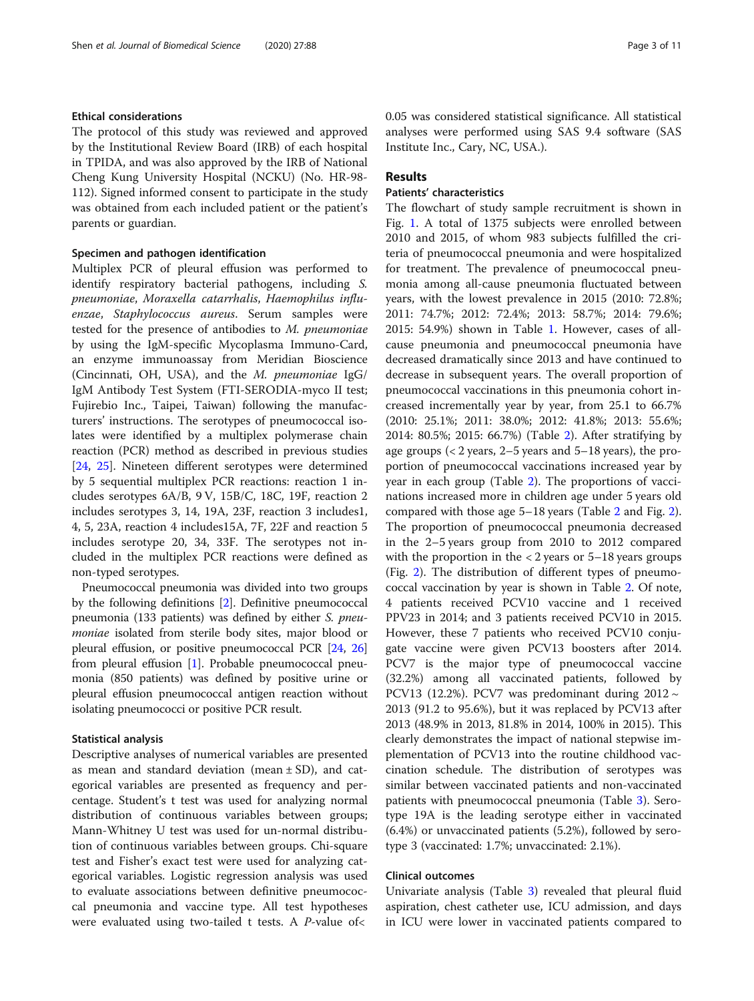# Ethical considerations

The protocol of this study was reviewed and approved by the Institutional Review Board (IRB) of each hospital in TPIDA, and was also approved by the IRB of National Cheng Kung University Hospital (NCKU) (No. HR-98- 112). Signed informed consent to participate in the study was obtained from each included patient or the patient's parents or guardian.

# Specimen and pathogen identification

Multiplex PCR of pleural effusion was performed to identify respiratory bacterial pathogens, including S. pneumoniae, Moraxella catarrhalis, Haemophilus influenzae, Staphylococcus aureus. Serum samples were tested for the presence of antibodies to M. pneumoniae by using the IgM-specific Mycoplasma Immuno-Card, an enzyme immunoassay from Meridian Bioscience (Cincinnati, OH, USA), and the M. pneumoniae IgG/ IgM Antibody Test System (FTI-SERODIA-myco II test; Fujirebio Inc., Taipei, Taiwan) following the manufacturers' instructions. The serotypes of pneumococcal isolates were identified by a multiplex polymerase chain reaction (PCR) method as described in previous studies [[24,](#page-10-0) [25](#page-10-0)]. Nineteen different serotypes were determined by 5 sequential multiplex PCR reactions: reaction 1 includes serotypes 6A/B, 9 V, 15B/C, 18C, 19F, reaction 2 includes serotypes 3, 14, 19A, 23F, reaction 3 includes1, 4, 5, 23A, reaction 4 includes15A, 7F, 22F and reaction 5 includes serotype 20, 34, 33F. The serotypes not included in the multiplex PCR reactions were defined as non-typed serotypes.

Pneumococcal pneumonia was divided into two groups by the following definitions [\[2](#page-9-0)]. Definitive pneumococcal pneumonia (133 patients) was defined by either S. pneumoniae isolated from sterile body sites, major blood or pleural effusion, or positive pneumococcal PCR [[24](#page-10-0), [26](#page-10-0)] from pleural effusion [\[1](#page-9-0)]. Probable pneumococcal pneumonia (850 patients) was defined by positive urine or pleural effusion pneumococcal antigen reaction without isolating pneumococci or positive PCR result.

#### Statistical analysis

Descriptive analyses of numerical variables are presented as mean and standard deviation (mean  $\pm$  SD), and categorical variables are presented as frequency and percentage. Student's t test was used for analyzing normal distribution of continuous variables between groups; Mann-Whitney U test was used for un-normal distribution of continuous variables between groups. Chi-square test and Fisher's exact test were used for analyzing categorical variables. Logistic regression analysis was used to evaluate associations between definitive pneumococcal pneumonia and vaccine type. All test hypotheses were evaluated using two-tailed t tests. A P-value of<

0.05 was considered statistical significance. All statistical analyses were performed using SAS 9.4 software (SAS Institute Inc., Cary, NC, USA.).

## Results

# Patients' characteristics

The flowchart of study sample recruitment is shown in Fig. [1.](#page-3-0) A total of 1375 subjects were enrolled between 2010 and 2015, of whom 983 subjects fulfilled the criteria of pneumococcal pneumonia and were hospitalized for treatment. The prevalence of pneumococcal pneumonia among all-cause pneumonia fluctuated between years, with the lowest prevalence in 2015 (2010: 72.8%; 2011: 74.7%; 2012: 72.4%; 2013: 58.7%; 2014: 79.6%; 2015: 54.9%) shown in Table [1](#page-3-0). However, cases of allcause pneumonia and pneumococcal pneumonia have decreased dramatically since 2013 and have continued to decrease in subsequent years. The overall proportion of pneumococcal vaccinations in this pneumonia cohort increased incrementally year by year, from 25.1 to 66.7% (2010: 25.1%; 2011: 38.0%; 2012: 41.8%; 2013: 55.6%; 2014: 80.5%; 2015: 66.7%) (Table [2\)](#page-4-0). After stratifying by age groups  $\left($  < 2 years, 2–5 years and 5–18 years), the proportion of pneumococcal vaccinations increased year by year in each group (Table [2](#page-4-0)). The proportions of vaccinations increased more in children age under 5 years old compared with those age 5–18 years (Table [2](#page-4-0) and Fig. [2](#page-5-0)). The proportion of pneumococcal pneumonia decreased in the 2–5 years group from 2010 to 2012 compared with the proportion in the  $< 2$  years or  $5-18$  years groups (Fig. [2](#page-5-0)). The distribution of different types of pneumococcal vaccination by year is shown in Table [2.](#page-4-0) Of note, 4 patients received PCV10 vaccine and 1 received PPV23 in 2014; and 3 patients received PCV10 in 2015. However, these 7 patients who received PCV10 conjugate vaccine were given PCV13 boosters after 2014. PCV7 is the major type of pneumococcal vaccine (32.2%) among all vaccinated patients, followed by PCV13 (12.2%). PCV7 was predominant during  $2012 \sim$ 2013 (91.2 to 95.6%), but it was replaced by PCV13 after 2013 (48.9% in 2013, 81.8% in 2014, 100% in 2015). This clearly demonstrates the impact of national stepwise implementation of PCV13 into the routine childhood vaccination schedule. The distribution of serotypes was similar between vaccinated patients and non-vaccinated patients with pneumococcal pneumonia (Table [3](#page-6-0)). Serotype 19A is the leading serotype either in vaccinated (6.4%) or unvaccinated patients (5.2%), followed by serotype 3 (vaccinated: 1.7%; unvaccinated: 2.1%).

# Clinical outcomes

Univariate analysis (Table [3](#page-6-0)) revealed that pleural fluid aspiration, chest catheter use, ICU admission, and days in ICU were lower in vaccinated patients compared to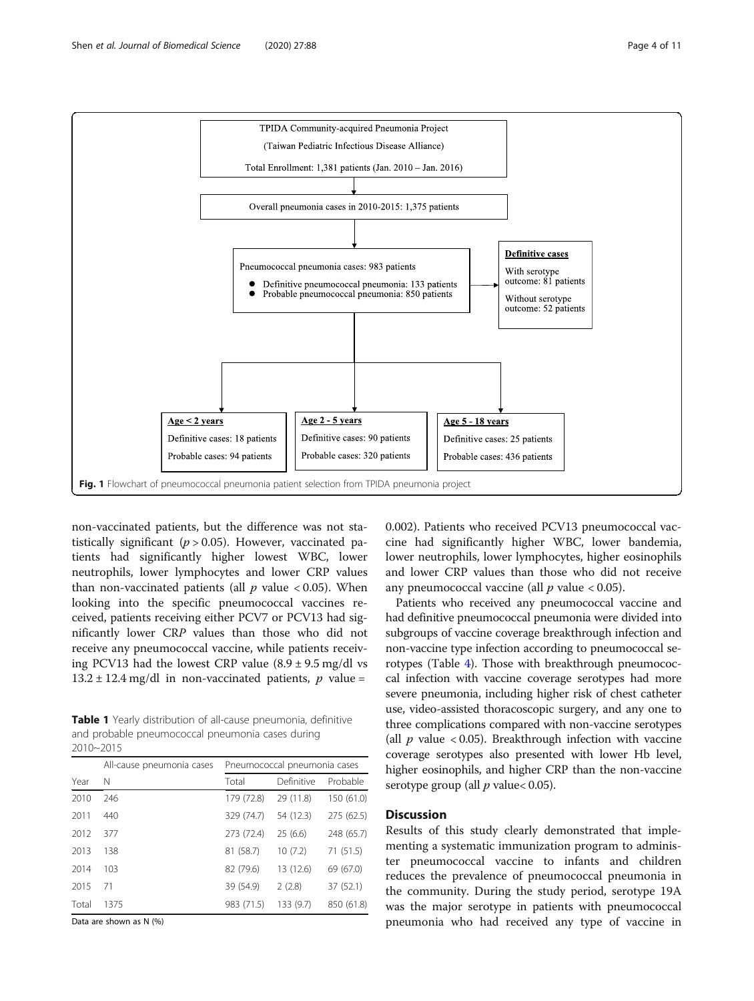<span id="page-3-0"></span>

non-vaccinated patients, but the difference was not statistically significant ( $p > 0.05$ ). However, vaccinated patients had significantly higher lowest WBC, lower neutrophils, lower lymphocytes and lower CRP values than non-vaccinated patients (all  $p$  value < 0.05). When looking into the specific pneumococcal vaccines received, patients receiving either PCV7 or PCV13 had significantly lower CRP values than those who did not receive any pneumococcal vaccine, while patients receiving PCV13 had the lowest CRP value  $(8.9 \pm 9.5 \text{ mg/dl vs}$  $13.2 \pm 12.4$  mg/dl in non-vaccinated patients, p value =

Table 1 Yearly distribution of all-cause pneumonia, definitive and probable pneumococcal pneumonia cases during 2010~2015

|       | All-cause pneumonia cases | Pneumococcal pneumonia cases |            |            |  |
|-------|---------------------------|------------------------------|------------|------------|--|
| Year  | N                         | Total                        | Definitive | Probable   |  |
| 2010  | 246                       | 179 (72.8)                   | 29 (11.8)  | 150 (61.0) |  |
| 2011  | 440                       | 329 (74.7)                   | 54 (12.3)  | 275 (62.5) |  |
| 2012  | 377                       | 273 (72.4)                   | 25(6.6)    | 248 (65.7) |  |
| 2013  | 138                       | 81 (58.7)                    | 10(7.2)    | 71(51.5)   |  |
| 2014  | 103                       | 82 (79.6)                    | 13 (12.6)  | 69 (67.0)  |  |
| 2015  | 71                        | 39 (54.9)                    | 2(2.8)     | 37 (52.1)  |  |
| Total | 1375                      | 983 (71.5)                   | 133 (9.7)  | 850 (61.8) |  |

Data are shown as N (%)

0.002). Patients who received PCV13 pneumococcal vaccine had significantly higher WBC, lower bandemia, lower neutrophils, lower lymphocytes, higher eosinophils and lower CRP values than those who did not receive any pneumococcal vaccine (all  $p$  value < 0.05).

Patients who received any pneumococcal vaccine and had definitive pneumococcal pneumonia were divided into subgroups of vaccine coverage breakthrough infection and non-vaccine type infection according to pneumococcal serotypes (Table [4\)](#page-7-0). Those with breakthrough pneumococcal infection with vaccine coverage serotypes had more severe pneumonia, including higher risk of chest catheter use, video-assisted thoracoscopic surgery, and any one to three complications compared with non-vaccine serotypes (all  $p$  value < 0.05). Breakthrough infection with vaccine coverage serotypes also presented with lower Hb level, higher eosinophils, and higher CRP than the non-vaccine serotype group (all  $p$  value < 0.05).

# **Discussion**

Results of this study clearly demonstrated that implementing a systematic immunization program to administer pneumococcal vaccine to infants and children reduces the prevalence of pneumococcal pneumonia in the community. During the study period, serotype 19A was the major serotype in patients with pneumococcal pneumonia who had received any type of vaccine in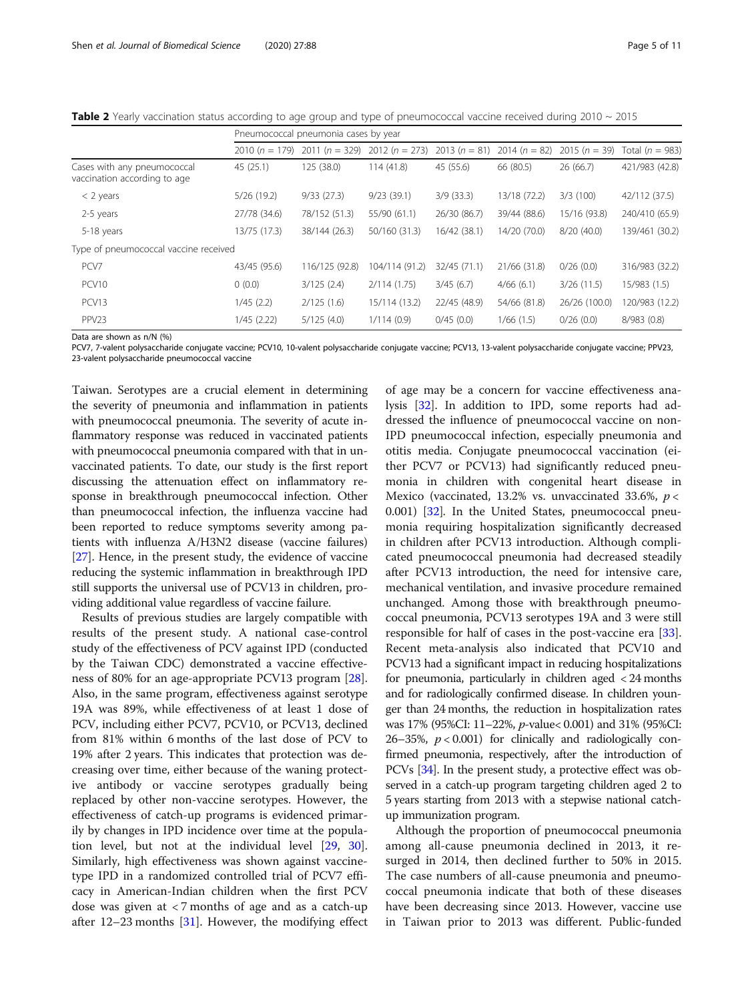<span id="page-4-0"></span>Table 2 Yearly vaccination status according to age group and type of pneumococcal vaccine received during 2010 ~ 2015

|                                                             | Pneumococcal pneumonia cases by year |                                   |                 |                                 |              |                 |                   |
|-------------------------------------------------------------|--------------------------------------|-----------------------------------|-----------------|---------------------------------|--------------|-----------------|-------------------|
|                                                             |                                      | 2010 $(n = 179)$ 2011 $(n = 329)$ | $2012(n = 273)$ | 2013 $(n = 81)$ 2014 $(n = 82)$ |              | 2015 $(n = 39)$ | Total $(n = 983)$ |
| Cases with any pneumococcal<br>vaccination according to age | 45 (25.1)                            | 125 (38.0)                        | 114(41.8)       | 45 (55.6)                       | 66 (80.5)    | 26 (66.7)       | 421/983 (42.8)    |
| $<$ 2 years                                                 | 5/26(19.2)                           | 9/33(27.3)                        | 9/23(39.1)      | 3/9(33.3)                       | 13/18 (72.2) | 3/3(100)        | 42/112 (37.5)     |
| 2-5 years                                                   | 27/78 (34.6)                         | 78/152 (51.3)                     | 55/90 (61.1)    | 26/30 (86.7)                    | 39/44 (88.6) | 15/16 (93.8)    | 240/410 (65.9)    |
| 5-18 years                                                  | 13/75 (17.3)                         | 38/144 (26.3)                     | 50/160 (31.3)   | 16/42 (38.1)                    | 14/20 (70.0) | 8/20(40.0)      | 139/461 (30.2)    |
| Type of pneumococcal vaccine received                       |                                      |                                   |                 |                                 |              |                 |                   |
| PCV7                                                        | 43/45 (95.6)                         | 116/125 (92.8)                    | 104/114 (91.2)  | 32/45 (71.1)                    | 21/66 (31.8) | 0/26(0.0)       | 316/983 (32.2)    |
| PCV <sub>10</sub>                                           | 0(0.0)                               | 3/125(2.4)                        | 2/114(1.75)     | 3/45(6.7)                       | 4/66(6.1)    | 3/26(11.5)      | 15/983 (1.5)      |
| PCV13                                                       | 1/45(2.2)                            | 2/125(1.6)                        | 15/114 (13.2)   | 22/45 (48.9)                    | 54/66 (81.8) | 26/26 (100.0)   | 120/983 (12.2)    |
| PPV <sub>23</sub>                                           | 1/45(2.22)                           | 5/125(4.0)                        | 1/114(0.9)      | 0/45(0.0)                       | 1/66(1.5)    | 0/26(0.0)       | 8/983 (0.8)       |

Data are shown as n/N (%)

PCV7, 7-valent polysaccharide conjugate vaccine; PCV10, 10-valent polysaccharide conjugate vaccine; PCV13, 13-valent polysaccharide conjugate vaccine; PPV23, 23-valent polysaccharide pneumococcal vaccine

Taiwan. Serotypes are a crucial element in determining the severity of pneumonia and inflammation in patients with pneumococcal pneumonia. The severity of acute inflammatory response was reduced in vaccinated patients with pneumococcal pneumonia compared with that in unvaccinated patients. To date, our study is the first report discussing the attenuation effect on inflammatory response in breakthrough pneumococcal infection. Other than pneumococcal infection, the influenza vaccine had been reported to reduce symptoms severity among patients with influenza A/H3N2 disease (vaccine failures) [[27](#page-10-0)]. Hence, in the present study, the evidence of vaccine reducing the systemic inflammation in breakthrough IPD still supports the universal use of PCV13 in children, providing additional value regardless of vaccine failure.

Results of previous studies are largely compatible with results of the present study. A national case-control study of the effectiveness of PCV against IPD (conducted by the Taiwan CDC) demonstrated a vaccine effectiveness of 80% for an age-appropriate PCV13 program [\[28](#page-10-0)]. Also, in the same program, effectiveness against serotype 19A was 89%, while effectiveness of at least 1 dose of PCV, including either PCV7, PCV10, or PCV13, declined from 81% within 6 months of the last dose of PCV to 19% after 2 years. This indicates that protection was decreasing over time, either because of the waning protective antibody or vaccine serotypes gradually being replaced by other non-vaccine serotypes. However, the effectiveness of catch-up programs is evidenced primarily by changes in IPD incidence over time at the population level, but not at the individual level [[29,](#page-10-0) [30](#page-10-0)]. Similarly, high effectiveness was shown against vaccinetype IPD in a randomized controlled trial of PCV7 efficacy in American-Indian children when the first PCV dose was given at < 7 months of age and as a catch-up after  $12-23$  months  $[31]$  $[31]$ . However, the modifying effect

of age may be a concern for vaccine effectiveness analysis [[32](#page-10-0)]. In addition to IPD, some reports had addressed the influence of pneumococcal vaccine on non-IPD pneumococcal infection, especially pneumonia and otitis media. Conjugate pneumococcal vaccination (either PCV7 or PCV13) had significantly reduced pneumonia in children with congenital heart disease in Mexico (vaccinated, 13.2% vs. unvaccinated 33.6%,  $p <$ 0.001) [\[32](#page-10-0)]. In the United States, pneumococcal pneumonia requiring hospitalization significantly decreased in children after PCV13 introduction. Although complicated pneumococcal pneumonia had decreased steadily after PCV13 introduction, the need for intensive care, mechanical ventilation, and invasive procedure remained unchanged. Among those with breakthrough pneumococcal pneumonia, PCV13 serotypes 19A and 3 were still responsible for half of cases in the post-vaccine era [\[33](#page-10-0)]. Recent meta-analysis also indicated that PCV10 and PCV13 had a significant impact in reducing hospitalizations for pneumonia, particularly in children aged < 24 months and for radiologically confirmed disease. In children younger than 24 months, the reduction in hospitalization rates was 17% (95%CI: 11–22%, p-value< 0.001) and 31% (95%CI: 26–35%,  $p < 0.001$ ) for clinically and radiologically confirmed pneumonia, respectively, after the introduction of PCVs [[34](#page-10-0)]. In the present study, a protective effect was observed in a catch-up program targeting children aged 2 to 5 years starting from 2013 with a stepwise national catchup immunization program.

Although the proportion of pneumococcal pneumonia among all-cause pneumonia declined in 2013, it resurged in 2014, then declined further to 50% in 2015. The case numbers of all-cause pneumonia and pneumococcal pneumonia indicate that both of these diseases have been decreasing since 2013. However, vaccine use in Taiwan prior to 2013 was different. Public-funded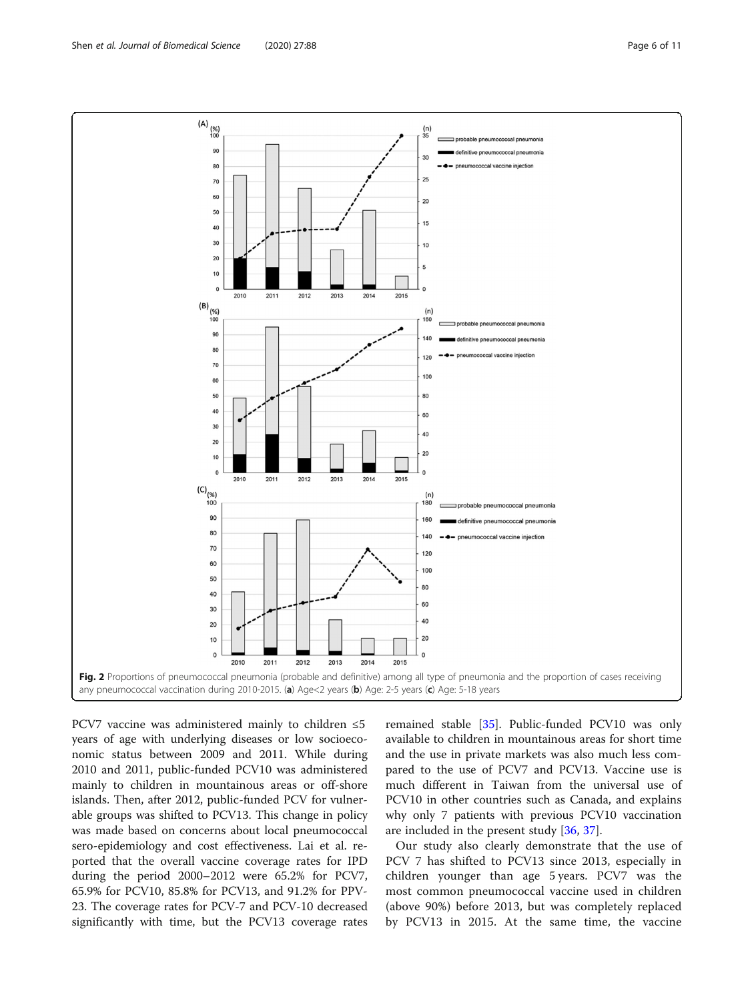PCV7 vaccine was administered mainly to children ≤5 years of age with underlying diseases or low socioeconomic status between 2009 and 2011. While during 2010 and 2011, public-funded PCV10 was administered mainly to children in mountainous areas or off-shore islands. Then, after 2012, public-funded PCV for vulnerable groups was shifted to PCV13. This change in policy was made based on concerns about local pneumococcal sero-epidemiology and cost effectiveness. Lai et al. reported that the overall vaccine coverage rates for IPD during the period 2000–2012 were 65.2% for PCV7, 65.9% for PCV10, 85.8% for PCV13, and 91.2% for PPV-23. The coverage rates for PCV-7 and PCV-10 decreased significantly with time, but the PCV13 coverage rates

remained stable [\[35](#page-10-0)]. Public-funded PCV10 was only available to children in mountainous areas for short time and the use in private markets was also much less compared to the use of PCV7 and PCV13. Vaccine use is much different in Taiwan from the universal use of PCV10 in other countries such as Canada, and explains why only 7 patients with previous PCV10 vaccination are included in the present study [[36,](#page-10-0) [37\]](#page-10-0).

Our study also clearly demonstrate that the use of PCV 7 has shifted to PCV13 since 2013, especially in children younger than age 5 years. PCV7 was the most common pneumococcal vaccine used in children (above 90%) before 2013, but was completely replaced by PCV13 in 2015. At the same time, the vaccine

<span id="page-5-0"></span>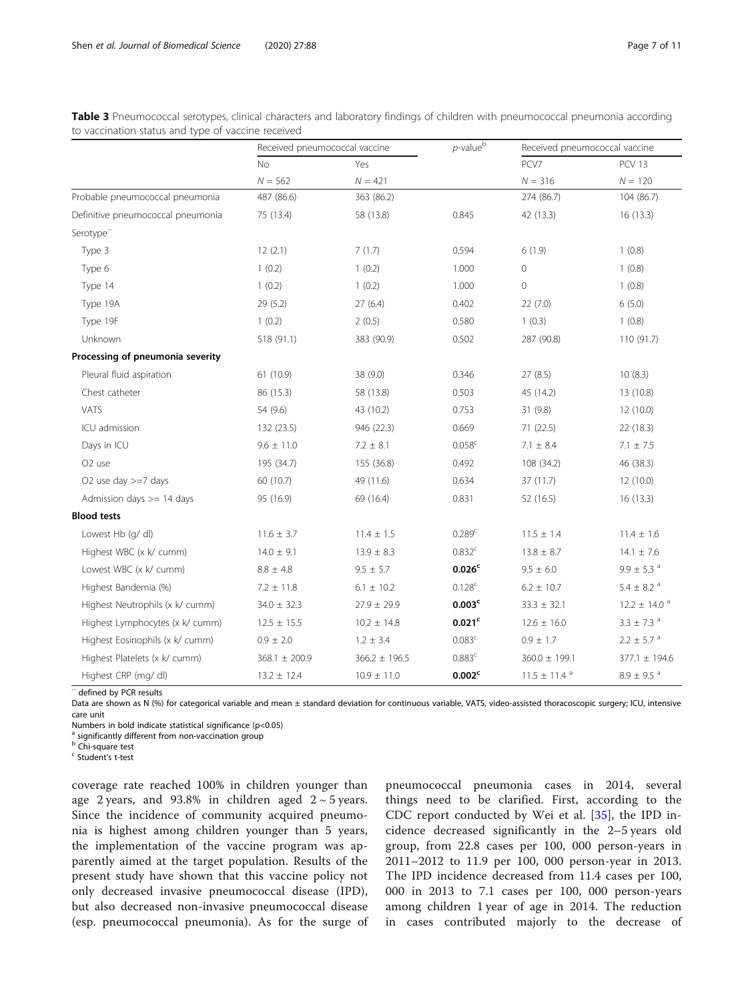|                                   | Received pneumococcal vaccine |                   | $p$ -value $b$     | Received pneumococcal vaccine |                              |  |
|-----------------------------------|-------------------------------|-------------------|--------------------|-------------------------------|------------------------------|--|
|                                   | <b>No</b>                     | Yes               |                    | PCV7                          | <b>PCV 13</b>                |  |
|                                   | $N = 562$                     | $N = 421$         |                    | $N = 316$                     | $N = 120$                    |  |
| Probable pneumococcal pneumonia   | 487 (86.6)                    | 363 (86.2)        |                    | 274 (86.7)                    | 104 (86.7)                   |  |
| Definitive pneumococcal pneumonia | 75 (13.4)                     | 58 (13.8)         | 0.845              | 42 (13.3)                     | 16(13.3)                     |  |
| Serotype <sup>-</sup>             |                               |                   |                    |                               |                              |  |
| Type 3                            | 12(2.1)                       | 7(1.7)            | 0.594              | 6(1.9)                        | 1(0.8)                       |  |
| Type 6                            | 1(0.2)                        | 1(0.2)            | 1.000              | $\overline{0}$                | 1(0.8)                       |  |
| Type 14                           | 1(0.2)                        | 1(0.2)            | 1.000              | $\mathbf 0$                   | 1(0.8)                       |  |
| Type 19A                          | 29(5.2)                       | 27(6.4)           | 0.402              | 22(7.0)                       | 6(5.0)                       |  |
| Type 19F                          | 1(0.2)                        | 2(0.5)            | 0.580              | 1(0.3)                        | 1(0.8)                       |  |
| Unknown                           | 518 (91.1)                    | 383 (90.9)        | 0.502              | 287 (90.8)                    | 110 (91.7)                   |  |
| Processing of pneumonia severity  |                               |                   |                    |                               |                              |  |
| Pleural fluid aspiration          | 61 (10.9)                     | 38 (9.0)          | 0.346              | 27(8.5)                       | 10(8.3)                      |  |
| Chest catheter                    | 86 (15.3)                     | 58 (13.8)         | 0.503              | 45 (14.2)                     | 13 (10.8)                    |  |
| <b>VATS</b>                       | 54 (9.6)                      | 43 (10.2)         | 0.753              | 31 (9.8)                      | 12(10.0)                     |  |
| ICU admission                     | 132 (23.5)                    | 946 (22.3)        | 0.669              | 71 (22.5)                     | 22 (18.3)                    |  |
| Days in ICU                       | $9.6 \pm 11.0$                | $7.2 \pm 8.1$     | $0.058^{\circ}$    | $7.1 \pm 8.4$                 | $7.1 \pm 7.5$                |  |
| O <sub>2</sub> use                | 195 (34.7)                    | 155 (36.8)        | 0.492              | 108 (34.2)                    | 46 (38.3)                    |  |
| O2 use day $>=7$ days             | 60 (10.7)                     | 49 (11.6)         | 0.634              | 37 (11.7)                     | 12(10.0)                     |  |
| Admission days $>= 14$ days       | 95 (16.9)                     | 69 (16.4)         | 0.831              | 52 (16.5)                     | 16(13.3)                     |  |
| <b>Blood tests</b>                |                               |                   |                    |                               |                              |  |
| Lowest Hb (g/ dl)                 | $11.6 \pm 3.7$                | $11.4 \pm 1.5$    | 0.289 <sup>c</sup> | $11.5 \pm 1.4$                | $11.4 \pm 1.6$               |  |
| Highest WBC (x k/ cumm)           | $14.0 \pm 9.1$                | $13.9 \pm 8.3$    | 0.832 <sup>c</sup> | $13.8 \pm 8.7$                | $14.1 \pm 7.6$               |  |
| Lowest WBC (x k/ cumm)            | $8.8 \pm 4.8$                 | $9.5 \pm 5.7$     | 0.026 <sup>c</sup> | $9.5 \pm 6.0$                 | $9.9 \pm 5.3$ <sup>a</sup>   |  |
| Highest Bandemia (%)              | $7.2 \pm 11.8$                | $6.1 \pm 10.2$    | $0.128^{c}$        | $6.2 \pm 10.7$                | $5.4\pm$ 8.2 $^{\rm a}$      |  |
| Highest Neutrophils (x k/ cumm)   | $34.0 \pm 32.3$               | $27.9 \pm 29.9$   | 0.003 <sup>c</sup> | $33.3 \pm 32.1$               | $12.2 \pm 14.0$ <sup>a</sup> |  |
| Highest Lymphocytes (x k/ cumm)   | $12.5 \pm 15.5$               | $10.2 \pm 14.8$   | 0.021 <sup>c</sup> | $12.6 \pm 16.0$               | $3.3 \pm 7.3$ <sup>a</sup>   |  |
| Highest Eosinophils (x k/ cumm)   | $0.9 \pm 2.0$                 | $1.2 \pm 3.4$     | 0.083 <sup>c</sup> | $0.9 \pm 1.7$                 | $2.2 \pm 5.7$ <sup>a</sup>   |  |
| Highest Platelets (x k/ cumm)     | $368.1 \pm 200.9$             | $366.2 \pm 196.5$ | 0.883 <sup>c</sup> | $360.0 \pm 199.1$             | $377.1 \pm 194.6$            |  |
| Highest CRP (mg/ dl)              | $13.2 \pm 12.4$               | $10.9 \pm 11.0$   | 0.002 <sup>c</sup> | $11.5 \pm 11.4$ <sup>a</sup>  | $8.9 \pm 9.5$ <sup>a</sup>   |  |

<span id="page-6-0"></span>Table 3 Pneumococcal serotypes, clinical characters and laboratory findings of children with pneumococcal pneumonia according to vaccination status and type of vaccine received

- defined by PCR results

Data are shown as N (%) for categorical variable and mean ± standard deviation for continuous variable, VATS, video-assisted thoracoscopic surgery; ICU, intensive care unit

Numbers in bold indicate statistical significance (p<0.05)

a significantly different from non-vaccination group

<sup>b</sup> Chi-square test

<sup>c</sup> Student's t-test

coverage rate reached 100% in children younger than age 2 years, and 93.8% in children aged  $2 \sim 5$  years. Since the incidence of community acquired pneumonia is highest among children younger than 5 years, the implementation of the vaccine program was apparently aimed at the target population. Results of the present study have shown that this vaccine policy not only decreased invasive pneumococcal disease (IPD), but also decreased non-invasive pneumococcal disease (esp. pneumococcal pneumonia). As for the surge of

pneumococcal pneumonia cases in 2014, several things need to be clarified. First, according to the CDC report conducted by Wei et al. [[35\]](#page-10-0), the IPD incidence decreased significantly in the 2–5 years old group, from 22.8 cases per 100, 000 person-years in 2011–2012 to 11.9 per 100, 000 person-year in 2013. The IPD incidence decreased from 11.4 cases per 100, 000 in 2013 to 7.1 cases per 100, 000 person-years among children 1 year of age in 2014. The reduction in cases contributed majorly to the decrease of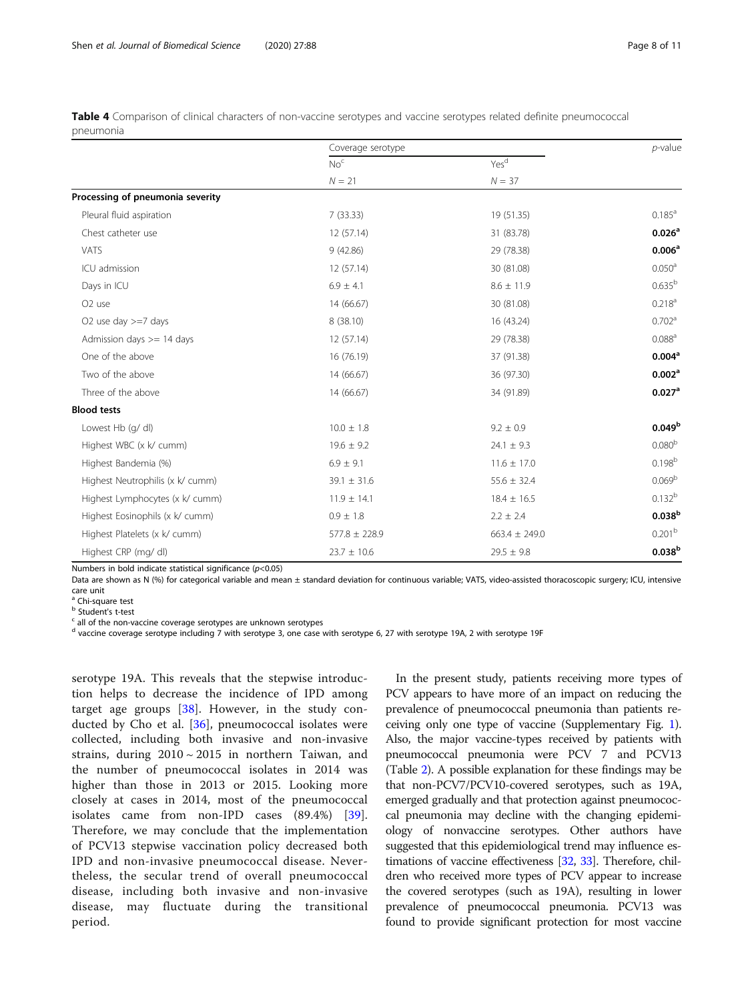|                                  | Coverage serotype | $p$ -value        |                      |
|----------------------------------|-------------------|-------------------|----------------------|
|                                  | No <sup>c</sup>   | Yes <sup>d</sup>  |                      |
|                                  | $N = 21$          | $N = 37$          |                      |
| Processing of pneumonia severity |                   |                   |                      |
| Pleural fluid aspiration         | 7(33.33)          | 19 (51.35)        | $0.185^{\text{a}}$   |
| Chest catheter use               | 12 (57.14)        | 31 (83.78)        | 0.026 <sup>a</sup>   |
| VATS                             | 9(42.86)          | 29 (78.38)        | 0.006 <sup>a</sup>   |
| ICU admission                    | 12 (57.14)        | 30 (81.08)        | $0.050^{\rm a}$      |
| Days in ICU                      | $6.9 \pm 4.1$     | $8.6 \pm 11.9$    | 0.635 <sup>b</sup>   |
| O <sub>2</sub> use               | 14 (66.67)        | 30 (81.08)        | 0.218 <sup>a</sup>   |
| O2 use day $>=7$ days            | 8 (38.10)         | 16 (43.24)        | 0.702 <sup>a</sup>   |
| Admission days $>= 14$ days      | 12 (57.14)        | 29 (78.38)        | 0.088 <sup>a</sup>   |
| One of the above                 | 16 (76.19)        | 37 (91.38)        | 0.004 <sup>a</sup>   |
| Two of the above                 | 14 (66.67)        | 36 (97.30)        | 0.002 <sup>a</sup>   |
| Three of the above               | 14 (66.67)        | 34 (91.89)        | $0.027$ <sup>a</sup> |
| <b>Blood tests</b>               |                   |                   |                      |
| Lowest Hb (g/ dl)                | $10.0 \pm 1.8$    | $9.2 \pm 0.9$     | 0.049 <sup>b</sup>   |
| Highest WBC (x k/ cumm)          | $19.6 \pm 9.2$    | $24.1 \pm 9.3$    | 0.080 <sup>b</sup>   |
| Highest Bandemia (%)             | $6.9 \pm 9.1$     | $11.6 \pm 17.0$   | $0.198^{b}$          |
| Highest Neutrophilis (x k/ cumm) | $39.1 \pm 31.6$   | $55.6 \pm 32.4$   | 0.069 <sup>b</sup>   |
| Highest Lymphocytes (x k/ cumm)  | $11.9 \pm 14.1$   | $18.4 \pm 16.5$   | $0.132^{b}$          |
| Highest Eosinophils (x k/ cumm)  | $0.9 \pm 1.8$     | $2.2 \pm 2.4$     | 0.038 <sup>b</sup>   |
| Highest Platelets (x k/ cumm)    | $577.8 \pm 228.9$ | $663.4 \pm 249.0$ | 0.201 <sup>b</sup>   |
| Highest CRP (mg/dl)              | $23.7 \pm 10.6$   | $29.5 \pm 9.8$    | 0.038 <sup>b</sup>   |

<span id="page-7-0"></span>Table 4 Comparison of clinical characters of non-vaccine serotypes and vaccine serotypes related definite pneumococcal pneumonia

Numbers in bold indicate statistical significance  $(p<0.05)$ 

Data are shown as N (%) for categorical variable and mean ± standard deviation for continuous variable; VATS, video-assisted thoracoscopic surgery; ICU, intensive care unit

<sup>a</sup> Chi-square test

<sup>b</sup> Student's t-test

 $c$  all of the non-vaccine coverage serotypes are unknown serotypes

<sup>d</sup> vaccine coverage serotype including 7 with serotype 3, one case with serotype 6, 27 with serotype 19A, 2 with serotype 19F

serotype 19A. This reveals that the stepwise introduction helps to decrease the incidence of IPD among target age groups [[38\]](#page-10-0). However, in the study conducted by Cho et al. [[36\]](#page-10-0), pneumococcal isolates were collected, including both invasive and non-invasive strains, during  $2010 \sim 2015$  in northern Taiwan, and the number of pneumococcal isolates in 2014 was higher than those in 2013 or 2015. Looking more closely at cases in 2014, most of the pneumococcal isolates came from non-IPD cases (89.4%) [\[39](#page-10-0)]. Therefore, we may conclude that the implementation of PCV13 stepwise vaccination policy decreased both IPD and non-invasive pneumococcal disease. Nevertheless, the secular trend of overall pneumococcal disease, including both invasive and non-invasive disease, may fluctuate during the transitional period.

In the present study, patients receiving more types of PCV appears to have more of an impact on reducing the prevalence of pneumococcal pneumonia than patients receiving only one type of vaccine (Supplementary Fig. [1](#page-9-0)). Also, the major vaccine-types received by patients with pneumococcal pneumonia were PCV 7 and PCV13 (Table [2\)](#page-4-0). A possible explanation for these findings may be that non-PCV7/PCV10-covered serotypes, such as 19A, emerged gradually and that protection against pneumococcal pneumonia may decline with the changing epidemiology of nonvaccine serotypes. Other authors have suggested that this epidemiological trend may influence estimations of vaccine effectiveness [[32](#page-10-0), [33](#page-10-0)]. Therefore, children who received more types of PCV appear to increase the covered serotypes (such as 19A), resulting in lower prevalence of pneumococcal pneumonia. PCV13 was found to provide significant protection for most vaccine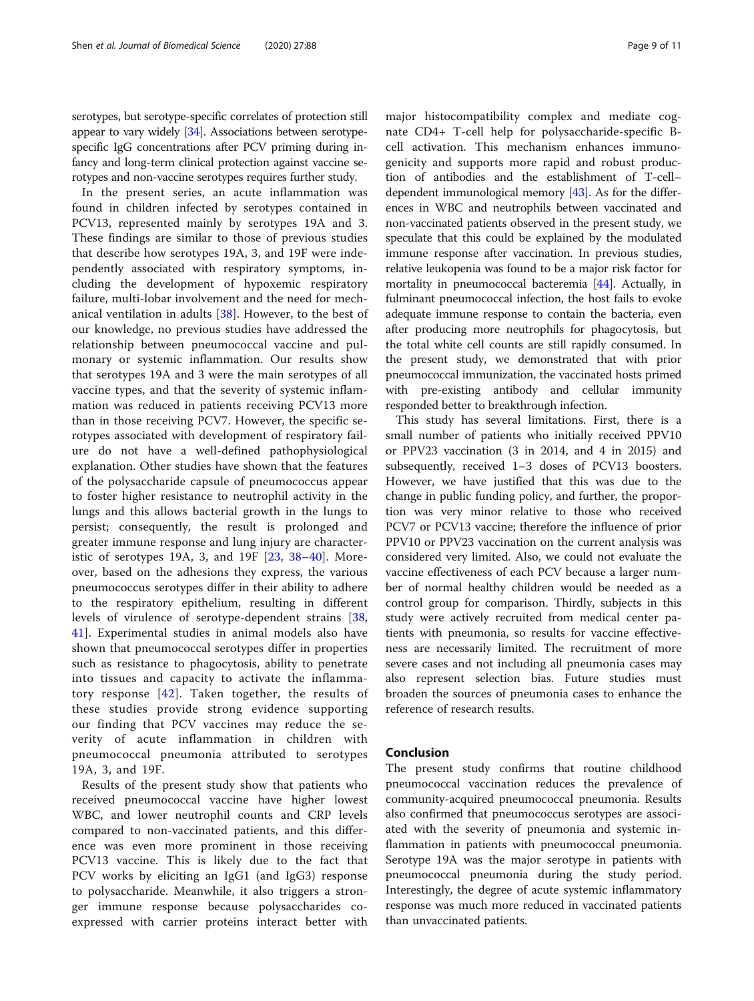serotypes, but serotype-specific correlates of protection still appear to vary widely [\[34\]](#page-10-0). Associations between serotypespecific IgG concentrations after PCV priming during infancy and long-term clinical protection against vaccine serotypes and non-vaccine serotypes requires further study.

In the present series, an acute inflammation was found in children infected by serotypes contained in PCV13, represented mainly by serotypes 19A and 3. These findings are similar to those of previous studies that describe how serotypes 19A, 3, and 19F were independently associated with respiratory symptoms, including the development of hypoxemic respiratory failure, multi-lobar involvement and the need for mechanical ventilation in adults [[38\]](#page-10-0). However, to the best of our knowledge, no previous studies have addressed the relationship between pneumococcal vaccine and pulmonary or systemic inflammation. Our results show that serotypes 19A and 3 were the main serotypes of all vaccine types, and that the severity of systemic inflammation was reduced in patients receiving PCV13 more than in those receiving PCV7. However, the specific serotypes associated with development of respiratory failure do not have a well-defined pathophysiological explanation. Other studies have shown that the features of the polysaccharide capsule of pneumococcus appear to foster higher resistance to neutrophil activity in the lungs and this allows bacterial growth in the lungs to persist; consequently, the result is prolonged and greater immune response and lung injury are characteristic of serotypes 19A, 3, and 19F  $[23, 38-40]$  $[23, 38-40]$  $[23, 38-40]$  $[23, 38-40]$  $[23, 38-40]$  $[23, 38-40]$  $[23, 38-40]$ . Moreover, based on the adhesions they express, the various pneumococcus serotypes differ in their ability to adhere to the respiratory epithelium, resulting in different levels of virulence of serotype-dependent strains [\[38](#page-10-0), [41\]](#page-10-0). Experimental studies in animal models also have shown that pneumococcal serotypes differ in properties such as resistance to phagocytosis, ability to penetrate into tissues and capacity to activate the inflammatory response [[42](#page-10-0)]. Taken together, the results of these studies provide strong evidence supporting our finding that PCV vaccines may reduce the severity of acute inflammation in children with pneumococcal pneumonia attributed to serotypes 19A, 3, and 19F.

Results of the present study show that patients who received pneumococcal vaccine have higher lowest WBC, and lower neutrophil counts and CRP levels compared to non-vaccinated patients, and this difference was even more prominent in those receiving PCV13 vaccine. This is likely due to the fact that PCV works by eliciting an IgG1 (and IgG3) response to polysaccharide. Meanwhile, it also triggers a stronger immune response because polysaccharides coexpressed with carrier proteins interact better with major histocompatibility complex and mediate cognate CD4+ T-cell help for polysaccharide-specific Bcell activation. This mechanism enhances immunogenicity and supports more rapid and robust production of antibodies and the establishment of T-cell– dependent immunological memory  $[43]$ . As for the differences in WBC and neutrophils between vaccinated and non-vaccinated patients observed in the present study, we speculate that this could be explained by the modulated immune response after vaccination. In previous studies, relative leukopenia was found to be a major risk factor for mortality in pneumococcal bacteremia [[44](#page-10-0)]. Actually, in fulminant pneumococcal infection, the host fails to evoke adequate immune response to contain the bacteria, even after producing more neutrophils for phagocytosis, but the total white cell counts are still rapidly consumed. In the present study, we demonstrated that with prior pneumococcal immunization, the vaccinated hosts primed with pre-existing antibody and cellular immunity responded better to breakthrough infection.

This study has several limitations. First, there is a small number of patients who initially received PPV10 or PPV23 vaccination (3 in 2014, and 4 in 2015) and subsequently, received 1–3 doses of PCV13 boosters. However, we have justified that this was due to the change in public funding policy, and further, the proportion was very minor relative to those who received PCV7 or PCV13 vaccine; therefore the influence of prior PPV10 or PPV23 vaccination on the current analysis was considered very limited. Also, we could not evaluate the vaccine effectiveness of each PCV because a larger number of normal healthy children would be needed as a control group for comparison. Thirdly, subjects in this study were actively recruited from medical center patients with pneumonia, so results for vaccine effectiveness are necessarily limited. The recruitment of more severe cases and not including all pneumonia cases may also represent selection bias. Future studies must broaden the sources of pneumonia cases to enhance the reference of research results.

### Conclusion

The present study confirms that routine childhood pneumococcal vaccination reduces the prevalence of community-acquired pneumococcal pneumonia. Results also confirmed that pneumococcus serotypes are associated with the severity of pneumonia and systemic inflammation in patients with pneumococcal pneumonia. Serotype 19A was the major serotype in patients with pneumococcal pneumonia during the study period. Interestingly, the degree of acute systemic inflammatory response was much more reduced in vaccinated patients than unvaccinated patients.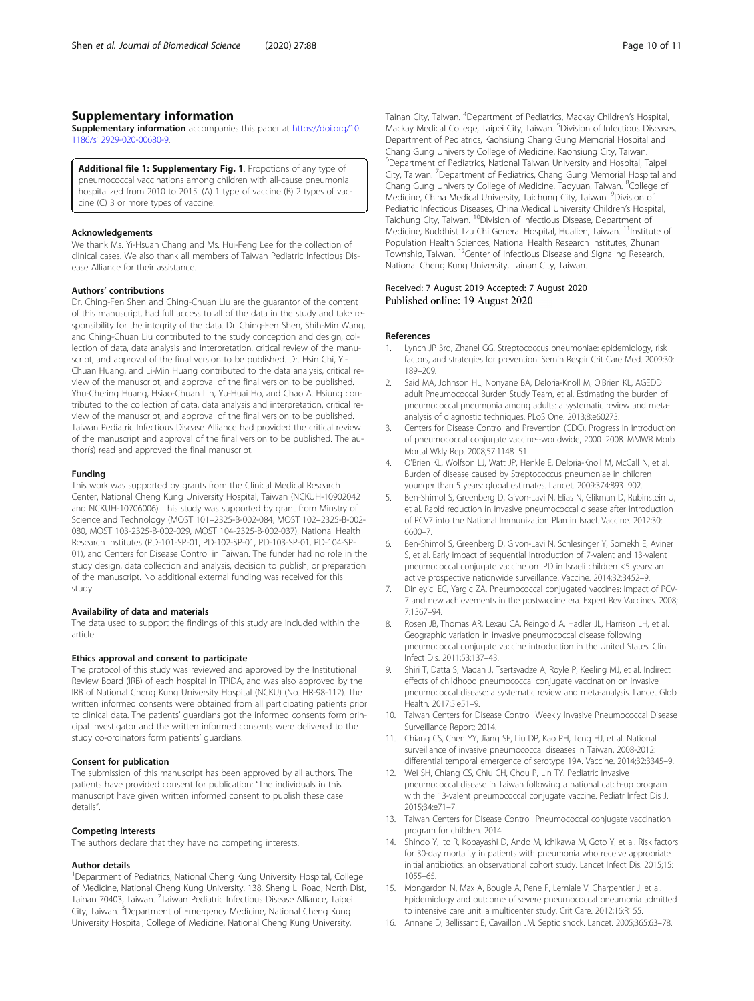# <span id="page-9-0"></span>Supplementary information

Supplementary information accompanies this paper at [https://doi.org/10.](https://doi.org/10.1186/s12929-020-00680-9) [1186/s12929-020-00680-9](https://doi.org/10.1186/s12929-020-00680-9).

Additional file 1: Supplementary Fig. 1. Propotions of any type of pneumococcal vaccinations among children with all-cause pneumonia hospitalized from 2010 to 2015. (A) 1 type of vaccine (B) 2 types of vaccine (C) 3 or more types of vaccine.

#### Acknowledgements

We thank Ms. Yi-Hsuan Chang and Ms. Hui-Feng Lee for the collection of clinical cases. We also thank all members of Taiwan Pediatric Infectious Disease Alliance for their assistance.

#### Authors' contributions

Dr. Ching-Fen Shen and Ching-Chuan Liu are the guarantor of the content of this manuscript, had full access to all of the data in the study and take responsibility for the integrity of the data. Dr. Ching-Fen Shen, Shih-Min Wang, and Ching-Chuan Liu contributed to the study conception and design, collection of data, data analysis and interpretation, critical review of the manuscript, and approval of the final version to be published. Dr. Hsin Chi, Yi-Chuan Huang, and Li-Min Huang contributed to the data analysis, critical review of the manuscript, and approval of the final version to be published. Yhu-Chering Huang, Hsiao-Chuan Lin, Yu-Huai Ho, and Chao A. Hsiung contributed to the collection of data, data analysis and interpretation, critical review of the manuscript, and approval of the final version to be published. Taiwan Pediatric Infectious Disease Alliance had provided the critical review of the manuscript and approval of the final version to be published. The author(s) read and approved the final manuscript.

#### Funding

This work was supported by grants from the Clinical Medical Research Center, National Cheng Kung University Hospital, Taiwan (NCKUH-10902042 and NCKUH-10706006). This study was supported by grant from Minstry of Science and Technology (MOST 101–2325-B-002-084, MOST 102–2325-B-002- 080, MOST 103-2325-B-002-029, MOST 104-2325-B-002-037), National Health Research Institutes (PD-101-SP-01, PD-102-SP-01, PD-103-SP-01, PD-104-SP-01), and Centers for Disease Control in Taiwan. The funder had no role in the study design, data collection and analysis, decision to publish, or preparation of the manuscript. No additional external funding was received for this study.

#### Availability of data and materials

The data used to support the findings of this study are included within the article.

#### Ethics approval and consent to participate

The protocol of this study was reviewed and approved by the Institutional Review Board (IRB) of each hospital in TPIDA, and was also approved by the IRB of National Cheng Kung University Hospital (NCKU) (No. HR-98-112). The written informed consents were obtained from all participating patients prior to clinical data. The patients' guardians got the informed consents form principal investigator and the written informed consents were delivered to the study co-ordinators form patients' guardians.

#### Consent for publication

The submission of this manuscript has been approved by all authors. The patients have provided consent for publication: "The individuals in this manuscript have given written informed consent to publish these case details".

#### Competing interests

The authors declare that they have no competing interests.

#### Author details

<sup>1</sup>Department of Pediatrics, National Cheng Kung University Hospital, College of Medicine, National Cheng Kung University, 138, Sheng Li Road, North Dist, Tainan 70403, Taiwan. <sup>2</sup>Taiwan Pediatric Infectious Disease Alliance, Taipei City, Taiwan. <sup>3</sup>Department of Emergency Medicine, National Cheng Kung University Hospital, College of Medicine, National Cheng Kung University,

Tainan City, Taiwan. <sup>4</sup>Department of Pediatrics, Mackay Children's Hospital Mackay Medical College, Taipei City, Taiwan. <sup>5</sup> Division of Infectious Diseases, Department of Pediatrics, Kaohsiung Chang Gung Memorial Hospital and Chang Gung University College of Medicine, Kaohsiung City, Taiwan. <sup>6</sup>Department of Pediatrics, National Taiwan University and Hospital, Taipei City, Taiwan. <sup>7</sup>Department of Pediatrics, Chang Gung Memorial Hospital and Chang Gung University College of Medicine, Taoyuan, Taiwan. <sup>8</sup>College of Medicine, China Medical University, Taichung City, Taiwan. <sup>9</sup>Division of Pediatric Infectious Diseases, China Medical University Children's Hospital, Taichung City, Taiwan. <sup>10</sup>Division of Infectious Disease, Department of Medicine, Buddhist Tzu Chi General Hospital, Hualien, Taiwan. <sup>11</sup>Institute of Population Health Sciences, National Health Research Institutes, Zhunan Township, Taiwan. 12Center of Infectious Disease and Signaling Research, National Cheng Kung University, Tainan City, Taiwan.

#### Received: 7 August 2019 Accepted: 7 August 2020 Published online: 19 August 2020

#### References

- 1. Lynch JP 3rd, Zhanel GG. Streptococcus pneumoniae: epidemiology, risk factors, and strategies for prevention. Semin Respir Crit Care Med. 2009;30: 189–209.
- 2. Said MA, Johnson HL, Nonyane BA, Deloria-Knoll M, O'Brien KL, AGEDD adult Pneumococcal Burden Study Team, et al. Estimating the burden of pneumococcal pneumonia among adults: a systematic review and metaanalysis of diagnostic techniques. PLoS One. 2013;8:e60273.
- 3. Centers for Disease Control and Prevention (CDC). Progress in introduction of pneumococcal conjugate vaccine--worldwide, 2000–2008. MMWR Morb Mortal Wkly Rep. 2008;57:1148–51.
- 4. O'Brien KL, Wolfson LJ, Watt JP, Henkle E, Deloria-Knoll M, McCall N, et al. Burden of disease caused by Streptococcus pneumoniae in children younger than 5 years: global estimates. Lancet. 2009;374:893–902.
- 5. Ben-Shimol S, Greenberg D, Givon-Lavi N, Elias N, Glikman D, Rubinstein U, et al. Rapid reduction in invasive pneumococcal disease after introduction of PCV7 into the National Immunization Plan in Israel. Vaccine. 2012;30: 6600–7.
- 6. Ben-Shimol S, Greenberg D, Givon-Lavi N, Schlesinger Y, Somekh E, Aviner S, et al. Early impact of sequential introduction of 7-valent and 13-valent pneumococcal conjugate vaccine on IPD in Israeli children <5 years: an active prospective nationwide surveillance. Vaccine. 2014;32:3452–9.
- 7. Dinleyici EC, Yargic ZA. Pneumococcal conjugated vaccines: impact of PCV-7 and new achievements in the postvaccine era. Expert Rev Vaccines. 2008; 7:1367–94.
- 8. Rosen JB, Thomas AR, Lexau CA, Reingold A, Hadler JL, Harrison LH, et al. Geographic variation in invasive pneumococcal disease following pneumococcal conjugate vaccine introduction in the United States. Clin Infect Dis. 2011;53:137–43.
- 9. Shiri T, Datta S, Madan J, Tsertsvadze A, Royle P, Keeling MJ, et al. Indirect effects of childhood pneumococcal conjugate vaccination on invasive pneumococcal disease: a systematic review and meta-analysis. Lancet Glob Health. 2017;5:e51–9.
- 10. Taiwan Centers for Disease Control. Weekly Invasive Pneumococcal Disease Surveillance Report; 2014.
- 11. Chiang CS, Chen YY, Jiang SF, Liu DP, Kao PH, Teng HJ, et al. National surveillance of invasive pneumococcal diseases in Taiwan, 2008-2012: differential temporal emergence of serotype 19A. Vaccine. 2014;32:3345–9.
- 12. Wei SH, Chiang CS, Chiu CH, Chou P, Lin TY. Pediatric invasive pneumococcal disease in Taiwan following a national catch-up program with the 13-valent pneumococcal conjugate vaccine. Pediatr Infect Dis J. 2015;34:e71–7.
- 13. Taiwan Centers for Disease Control. Pneumococcal conjugate vaccination program for children. 2014.
- 14. Shindo Y, Ito R, Kobayashi D, Ando M, Ichikawa M, Goto Y, et al. Risk factors for 30-day mortality in patients with pneumonia who receive appropriate initial antibiotics: an observational cohort study. Lancet Infect Dis. 2015;15: 1055–65.
- 15. Mongardon N, Max A, Bougle A, Pene F, Lemiale V, Charpentier J, et al. Epidemiology and outcome of severe pneumococcal pneumonia admitted to intensive care unit: a multicenter study. Crit Care. 2012;16:R155.
- 16. Annane D, Bellissant E, Cavaillon JM. Septic shock. Lancet. 2005;365:63–78.